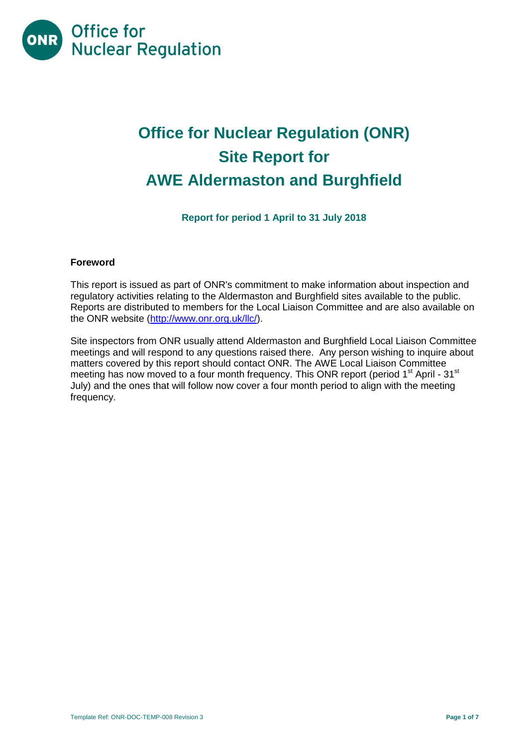

# **Office for Nuclear Regulation (ONR) Site Report for AWE Aldermaston and Burghfield**

**Report for period 1 April to 31 July 2018**

#### **Foreword**

This report is issued as part of ONR's commitment to make information about inspection and regulatory activities relating to the Aldermaston and Burghfield sites available to the public. Reports are distributed to members for the Local Liaison Committee and are also available on the ONR website [\(http://www.onr.org.uk/llc/\)](http://www.onr.org.uk/llc/).

Site inspectors from ONR usually attend Aldermaston and Burghfield Local Liaison Committee meetings and will respond to any questions raised there. Any person wishing to inquire about matters covered by this report should contact ONR. The AWE Local Liaison Committee meeting has now moved to a four month frequency. This ONR report (period 1<sup>st</sup> April - 31<sup>st</sup> July) and the ones that will follow now cover a four month period to align with the meeting frequency.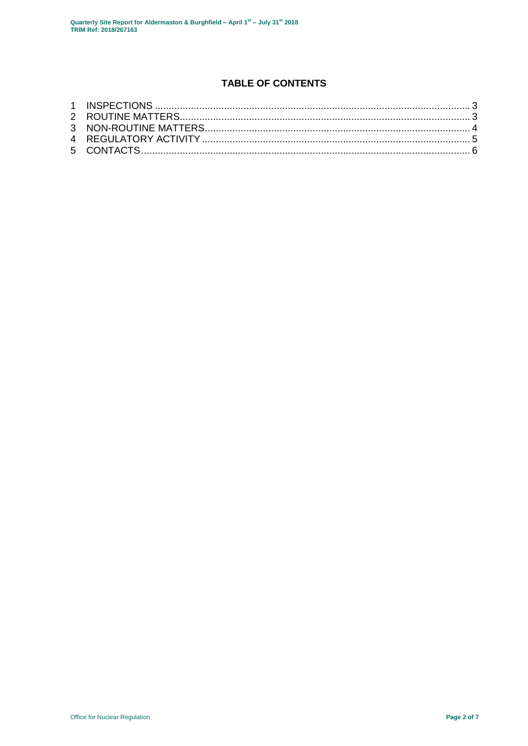# **TABLE OF CONTENTS**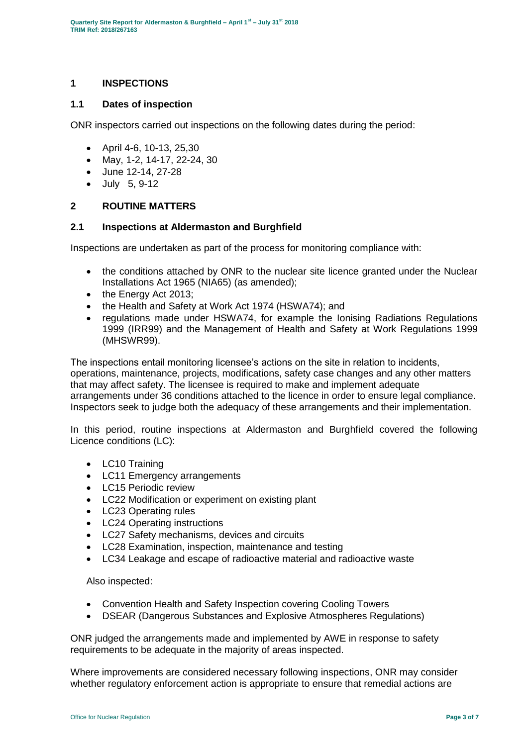# <span id="page-2-0"></span>**1 INSPECTIONS**

#### **1.1 Dates of inspection**

ONR inspectors carried out inspections on the following dates during the period:

- April 4-6, 10-13, 25,30
- May, 1-2, 14-17, 22-24, 30
- June 12-14, 27-28
- July 5, 9-12

#### <span id="page-2-1"></span>**2 ROUTINE MATTERS**

#### **2.1 Inspections at Aldermaston and Burghfield**

Inspections are undertaken as part of the process for monitoring compliance with:

- the conditions attached by ONR to the nuclear site licence granted under the Nuclear Installations Act 1965 (NIA65) (as amended);
- the Energy Act 2013;
- the Health and Safety at Work Act 1974 (HSWA74); and
- regulations made under HSWA74, for example the Ionising Radiations Regulations 1999 (IRR99) and the Management of Health and Safety at Work Regulations 1999 (MHSWR99).

The inspections entail monitoring licensee's actions on the site in relation to incidents, operations, maintenance, projects, modifications, safety case changes and any other matters that may affect safety. The licensee is required to make and implement adequate arrangements under 36 conditions attached to the licence in order to ensure legal compliance. Inspectors seek to judge both the adequacy of these arrangements and their implementation.

In this period, routine inspections at Aldermaston and Burghfield covered the following Licence conditions (LC):

- LC10 Training
- LC11 Emergency arrangements
- LC15 Periodic review
- LC22 Modification or experiment on existing plant
- LC23 Operating rules
- LC24 Operating instructions
- LC27 Safety mechanisms, devices and circuits
- LC28 Examination, inspection, maintenance and testing
- LC34 Leakage and escape of radioactive material and radioactive waste

Also inspected:

- Convention Health and Safety Inspection covering Cooling Towers
- DSEAR (Dangerous Substances and Explosive Atmospheres Regulations)

ONR judged the arrangements made and implemented by AWE in response to safety requirements to be adequate in the majority of areas inspected.

Where improvements are considered necessary following inspections, ONR may consider whether regulatory enforcement action is appropriate to ensure that remedial actions are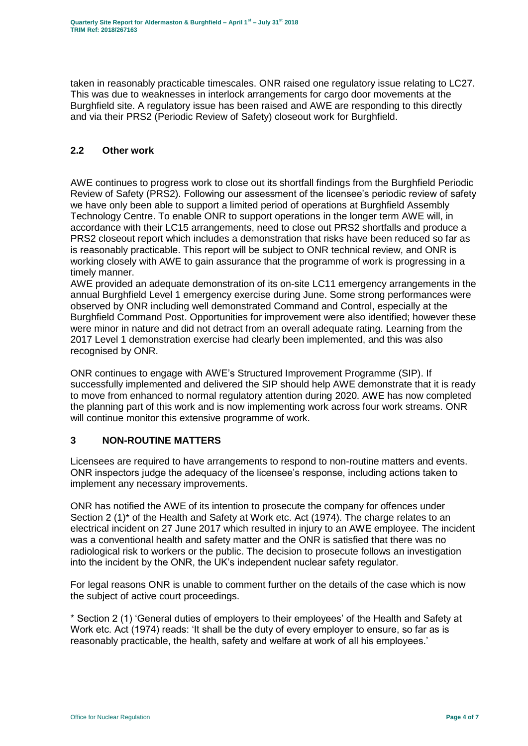taken in reasonably practicable timescales. ONR raised one regulatory issue relating to LC27. This was due to weaknesses in interlock arrangements for cargo door movements at the Burghfield site. A regulatory issue has been raised and AWE are responding to this directly and via their PRS2 (Periodic Review of Safety) closeout work for Burghfield.

# **2.2 Other work**

AWE continues to progress work to close out its shortfall findings from the Burghfield Periodic Review of Safety (PRS2). Following our assessment of the licensee's periodic review of safety we have only been able to support a limited period of operations at Burghfield Assembly Technology Centre. To enable ONR to support operations in the longer term AWE will, in accordance with their LC15 arrangements, need to close out PRS2 shortfalls and produce a PRS2 closeout report which includes a demonstration that risks have been reduced so far as is reasonably practicable. This report will be subject to ONR technical review, and ONR is working closely with AWE to gain assurance that the programme of work is progressing in a timely manner.

AWE provided an adequate demonstration of its on-site LC11 emergency arrangements in the annual Burghfield Level 1 emergency exercise during June. Some strong performances were observed by ONR including well demonstrated Command and Control, especially at the Burghfield Command Post. Opportunities for improvement were also identified; however these were minor in nature and did not detract from an overall adequate rating. Learning from the 2017 Level 1 demonstration exercise had clearly been implemented, and this was also recognised by ONR.

ONR continues to engage with AWE's Structured Improvement Programme (SIP). If successfully implemented and delivered the SIP should help AWE demonstrate that it is ready to move from enhanced to normal regulatory attention during 2020. AWE has now completed the planning part of this work and is now implementing work across four work streams. ONR will continue monitor this extensive programme of work.

# <span id="page-3-0"></span>**3 NON-ROUTINE MATTERS**

Licensees are required to have arrangements to respond to non-routine matters and events. ONR inspectors judge the adequacy of the licensee's response, including actions taken to implement any necessary improvements.

ONR has notified the AWE of its intention to prosecute the company for offences under Section 2 (1)<sup>\*</sup> of the Health and Safety at Work etc. Act (1974). The charge relates to an electrical incident on 27 June 2017 which resulted in injury to an AWE employee. The incident was a conventional health and safety matter and the ONR is satisfied that there was no radiological risk to workers or the public. The decision to prosecute follows an investigation into the incident by the ONR, the UK's independent nuclear safety regulator.

For legal reasons ONR is unable to comment further on the details of the case which is now the subject of active court proceedings.

\* Section 2 (1) 'General duties of employers to their employees' of the Health and Safety at Work etc. Act (1974) reads: 'It shall be the duty of every employer to ensure, so far as is reasonably practicable, the health, safety and welfare at work of all his employees.'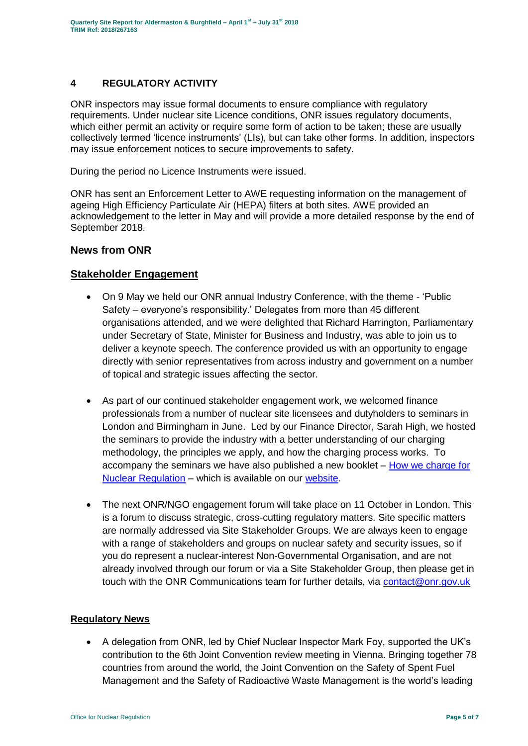# <span id="page-4-0"></span>**4 REGULATORY ACTIVITY**

ONR inspectors may issue formal documents to ensure compliance with regulatory requirements. Under nuclear site Licence conditions, ONR issues regulatory documents, which either permit an activity or require some form of action to be taken; these are usually collectively termed 'licence instruments' (LIs), but can take other forms. In addition, inspectors may issue enforcement notices to secure improvements to safety.

During the period no Licence Instruments were issued.

ONR has sent an Enforcement Letter to AWE requesting information on the management of ageing High Efficiency Particulate Air (HEPA) filters at both sites. AWE provided an acknowledgement to the letter in May and will provide a more detailed response by the end of September 2018.

#### **News from ONR**

# **Stakeholder Engagement**

- On 9 May we held our ONR annual Industry Conference, with the theme 'Public Safety – everyone's responsibility.' Delegates from more than 45 different organisations attended, and we were delighted that Richard Harrington, Parliamentary under Secretary of State, Minister for Business and Industry, was able to join us to deliver a keynote speech. The conference provided us with an opportunity to engage directly with senior representatives from across industry and government on a number of topical and strategic issues affecting the sector.
- As part of our continued stakeholder engagement work, we welcomed finance professionals from a number of nuclear site licensees and dutyholders to seminars in London and Birmingham in June. Led by our Finance Director, Sarah High, we hosted the seminars to provide the industry with a better understanding of our charging methodology, the principles we apply, and how the charging process works. To accompany the seminars we have also published a new booklet – [How we charge for](http://www.onr.org.uk/documents/2018/how-we-charge-for-nuclear-regulation.pdf)  [Nuclear Regulation](http://www.onr.org.uk/documents/2018/how-we-charge-for-nuclear-regulation.pdf) – which is available on our [website.](http://www.onr.org.uk/documents/2018/how-we-charge-for-nuclear-regulation.pdf)
- The next ONR/NGO engagement forum will take place on 11 October in London. This is a forum to discuss strategic, cross-cutting regulatory matters. Site specific matters are normally addressed via Site Stakeholder Groups. We are always keen to engage with a range of stakeholders and groups on nuclear safety and security issues, so if you do represent a nuclear-interest Non-Governmental Organisation, and are not already involved through our forum or via a Site Stakeholder Group, then please get in touch with the ONR Communications team for further details, via [contact@onr.gov.uk](mailto:contact@onr.gov.uk)

#### **Regulatory News**

 A delegation from ONR, led by Chief Nuclear Inspector Mark Foy, supported the UK's contribution to the 6th Joint Convention review meeting in Vienna. Bringing together 78 countries from around the world, the Joint Convention on the Safety of Spent Fuel Management and the Safety of Radioactive Waste Management is the world's leading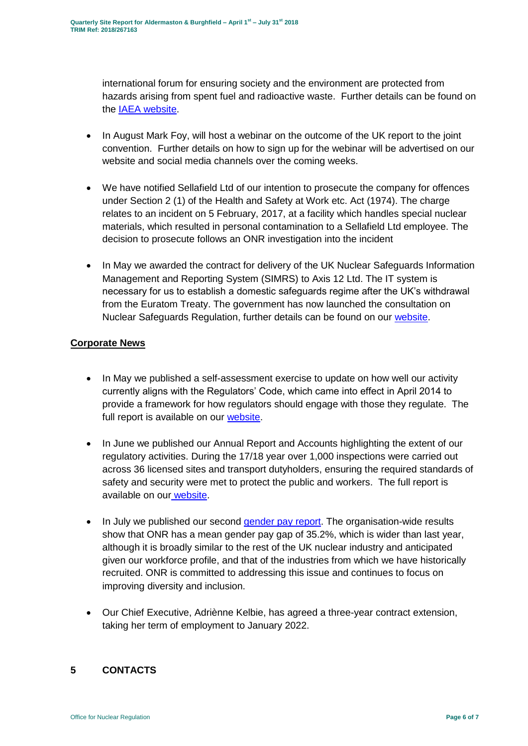international forum for ensuring society and the environment are protected from hazards arising from spent fuel and radioactive waste. Further details can be found on the [IAEA website.](https://www.iaea.org/events/sixth-review-meeting-of-the-contracting-parties-to-the-joint-convention-on-the-safety-of-spent-fuel-management-and-on-the-safety-of-radioactive-waste-management-joint-convention)

- In August Mark Foy, will host a webinar on the outcome of the UK report to the joint convention. Further details on how to sign up for the webinar will be advertised on our website and social media channels over the coming weeks.
- We have notified Sellafield Ltd of our intention to prosecute the company for offences under Section 2 (1) of the Health and Safety at Work etc. Act (1974). The charge relates to an incident on 5 February, 2017, at a facility which handles special nuclear materials, which resulted in personal contamination to a Sellafield Ltd employee. The decision to prosecute follows an ONR investigation into the incident
- In May we awarded the contract for delivery of the UK Nuclear Safeguards Information Management and Reporting System (SIMRS) to Axis 12 Ltd. The IT system is necessary for us to establish a domestic safeguards regime after the UK's withdrawal from the Euratom Treaty. The government has now launched the consultation on Nuclear Safeguards Regulation, further details can be found on our [website.](http://news.onr.org.uk/2018/07/government-consults-on-nuclear-safeguards-regulations/)

# **Corporate News**

- In May we published a self-assessment exercise to update on how well our activity currently aligns with the Regulators' Code, which came into effect in April 2014 to provide a framework for how regulators should engage with those they regulate. The full report is available on our [website.](http://www.onr.org.uk/regulators-code.htm)
- In June we published our Annual Report and Accounts highlighting the extent of our regulatory activities. During the 17/18 year over 1,000 inspections were carried out across 36 licensed sites and transport dutyholders, ensuring the required standards of safety and security were met to protect the public and workers. The full report is available on our [website.](http://news.onr.org.uk/2018/06/annual-report-and-accounts-published/)
- In July we published our second [gender pay report.](http://news.onr.org.uk/2018/07/onr-publishes-second-gender-pay-report/) The organisation-wide results show that ONR has a mean gender pay gap of 35.2%, which is wider than last year, although it is broadly similar to the rest of the UK nuclear industry and anticipated given our workforce profile, and that of the industries from which we have historically recruited. ONR is committed to addressing this issue and continues to focus on improving diversity and inclusion.
- Our Chief Executive, Adriènne Kelbie, has agreed a three-year contract extension, taking her term of employment to January 2022.

# <span id="page-5-0"></span>**5 CONTACTS**